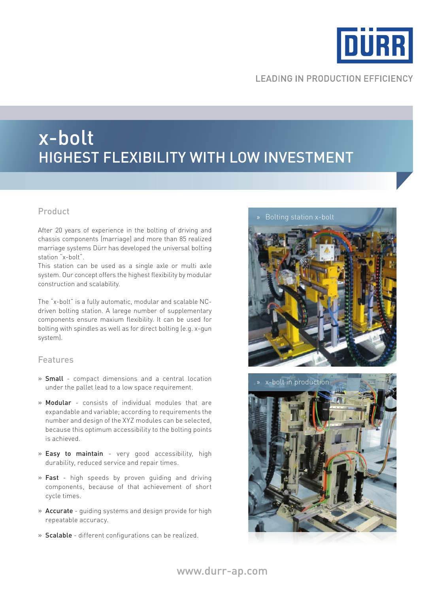

# **LEADING IN PRODUCTION EFFICIENCY**

# x-bolt highest flexibility with low investment

After 20 years of experience in the bolting of driving and chassis components (marriage) and more than 85 realized marriage systems Dürr has developed the universal bolting station "x-bolt".

This station can be used as a single axle or multi axle system. Our concept offers the highest flexibility by modular construction and scalability.

The "x-bolt" is a fully automatic, modular and scalable NCdriven bolting station. A larege number of supplementary components ensure maxium flexibility. It can be used for bolting with spindles as well as for direct bolting (e.g. x-gun system).

### Features

- » Small compact dimensions and a central location under the pallet lead to a low space requirement.
- » Modular consists of individual modules that are expandable and variable; according to requirements the number and design of the XYZ modules can be selected, because this optimum accessibility to the bolting points is achieved.
- » Easy to maintain very good accessibility, high durability, reduced service and repair times.
- » Fast high speeds by proven guiding and driving components, because of that achievement of short cycle times.
- » Accurate guiding systems and design provide for high repeatable accuracy.
- » Scalable different configurations can be realized.